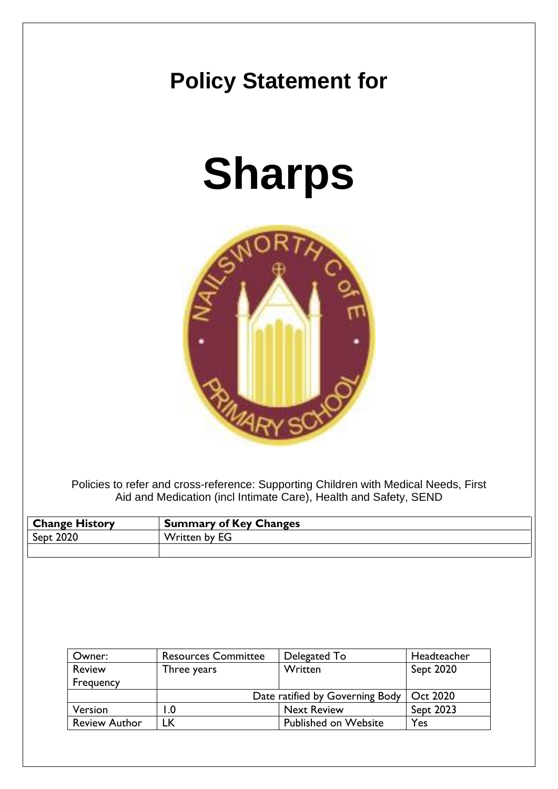## **Policy Statement for**

# **Sharps**



Policies to refer and cross-reference: Supporting Children with Medical Needs, First Aid and Medication (incl Intimate Care), Health and Safety, SEND

| <b>Change History</b> | <b>Summary of Key Changes</b> |
|-----------------------|-------------------------------|
| Sept 2020             | Written by EG                 |
|                       |                               |

| Owner:               | <b>Resources Committee</b>      | Delegated To                | Headteacher |
|----------------------|---------------------------------|-----------------------------|-------------|
| <b>Review</b>        | Three years                     | Written                     | Sept 2020   |
| Frequency            |                                 |                             |             |
|                      | Date ratified by Governing Body |                             | Oct 2020    |
| Version              | $\mathsf{I}.\mathsf{0}$         | <b>Next Review</b>          | Sept 2023   |
| <b>Review Author</b> | LΚ                              | <b>Published on Website</b> | Yes         |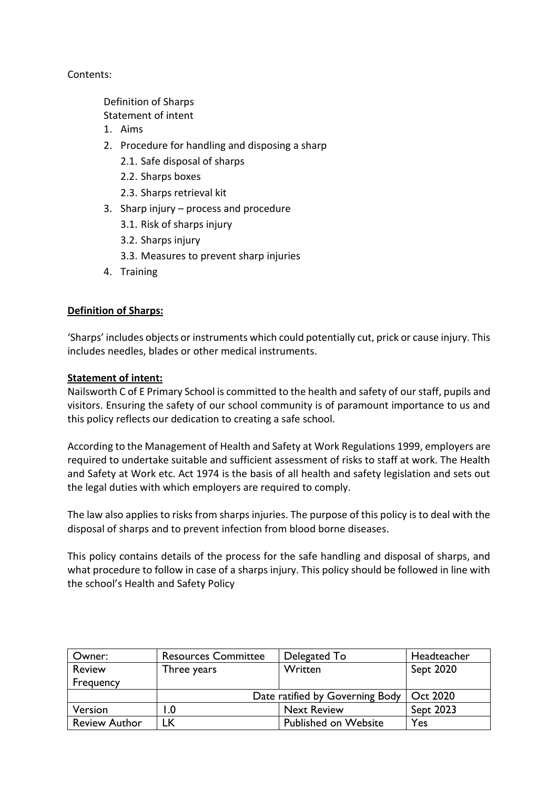Contents:

Definition of Sharps

[Statement of intent](#page-1-0)

- 1. Aims
- 2. [Procedure for handling and disposing a sharp](#page-2-0)
	- 2.1. [Safe disposal of sharps](#page-2-1)
	- 2.2. [Sharps boxes](#page-3-0)
	- 2.3. [Sharps retrieval kit](#page-3-1)
- 3. Sharp injury [process and procedure](#page-3-2)
	- 3.1. [Risk of sharps injury](#page-3-3)
	- 3.2. [Sharps injury](#page-4-0)
	- 3.3. [Measures to prevent sharp injuries](#page-4-1)
- 4. [Training](#page-4-2)

#### <span id="page-1-0"></span>**Definition of Sharps:**

'Sharps' includes objects or instruments which could potentially cut, prick or cause injury. This includes needles, blades or other medical instruments.

#### **Statement of intent:**

Nailsworth C of E Primary School is committed to the health and safety of our staff, pupils and visitors. Ensuring the safety of our school community is of paramount importance to us and this policy reflects our dedication to creating a safe school.

According to the Management of Health and Safety at Work Regulations 1999, employers are required to undertake suitable and sufficient assessment of risks to staff at work. The Health and Safety at Work etc. Act 1974 is the basis of all health and safety legislation and sets out the legal duties with which employers are required to comply.

The law also applies to risks from sharps injuries. The purpose of this policy is to deal with the disposal of sharps and to prevent infection from blood borne diseases.

This policy contains details of the process for the safe handling and disposal of sharps, and what procedure to follow in case of a sharps injury. This policy should be followed in line with the school's Health and Safety Policy

| Owner:               | <b>Resources Committee</b>      | Delegated To                | Headteacher |
|----------------------|---------------------------------|-----------------------------|-------------|
| <b>Review</b>        | Three years                     | Written                     | Sept 2020   |
| Frequency            |                                 |                             |             |
|                      | Date ratified by Governing Body |                             | Oct 2020    |
| Version              | I.O                             | <b>Next Review</b>          | Sept 2023   |
| <b>Review Author</b> | LК                              | <b>Published on Website</b> | Yes         |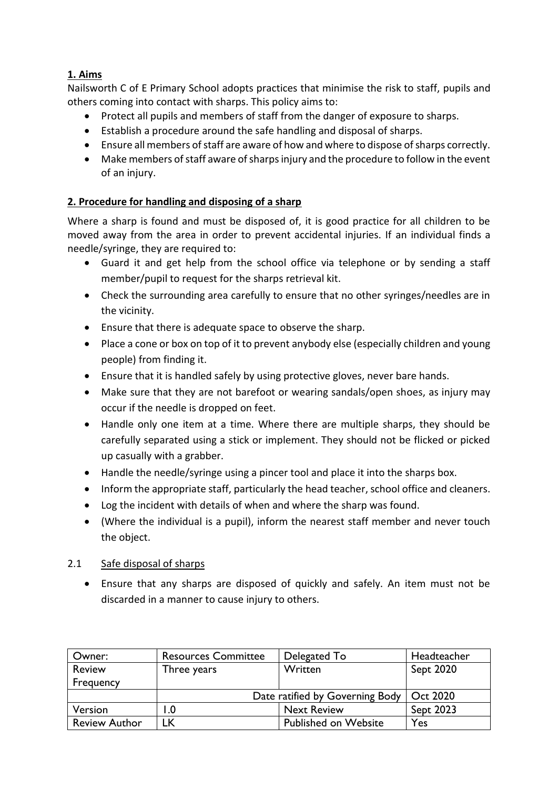### **1. Aims**

Nailsworth C of E Primary School adopts practices that minimise the risk to staff, pupils and others coming into contact with sharps. This policy aims to:

- Protect all pupils and members of staff from the danger of exposure to sharps.
- Establish a procedure around the safe handling and disposal of sharps.
- Ensure all members of staff are aware of how and where to dispose of sharps correctly.
- Make members of staff aware of sharps injury and the procedure to follow in the event of an injury.

#### <span id="page-2-0"></span>**2. Procedure for handling and disposing of a sharp**

Where a sharp is found and must be disposed of, it is good practice for all children to be moved away from the area in order to prevent accidental injuries. If an individual finds a needle/syringe, they are required to:

- Guard it and get help from the school office via telephone or by sending a staff member/pupil to request for the sharps retrieval kit.
- Check the surrounding area carefully to ensure that no other syringes/needles are in the vicinity.
- Ensure that there is adequate space to observe the sharp.
- Place a cone or box on top of it to prevent anybody else (especially children and young people) from finding it.
- Ensure that it is handled safely by using protective gloves, never bare hands.
- Make sure that they are not barefoot or wearing sandals/open shoes, as injury may occur if the needle is dropped on feet.
- Handle only one item at a time. Where there are multiple sharps, they should be carefully separated using a stick or implement. They should not be flicked or picked up casually with a grabber.
- Handle the needle/syringe using a pincer tool and place it into the sharps box.
- Inform the appropriate staff, particularly the head teacher, school office and cleaners.
- Log the incident with details of when and where the sharp was found.
- (Where the individual is a pupil), inform the nearest staff member and never touch the object.

#### <span id="page-2-1"></span>2.1 Safe disposal of sharps

• Ensure that any sharps are disposed of quickly and safely. An item must not be discarded in a manner to cause injury to others.

| Owner:               | <b>Resources Committee</b>      | Delegated To                | Headteacher |
|----------------------|---------------------------------|-----------------------------|-------------|
| <b>Review</b>        | Three years                     | Written                     | Sept 2020   |
| Frequency            |                                 |                             |             |
|                      | Date ratified by Governing Body |                             | Oct 2020    |
| Version              | $\mathbf{0}$ .                  | <b>Next Review</b>          | Sept 2023   |
| <b>Review Author</b> | LK                              | <b>Published on Website</b> | Yes         |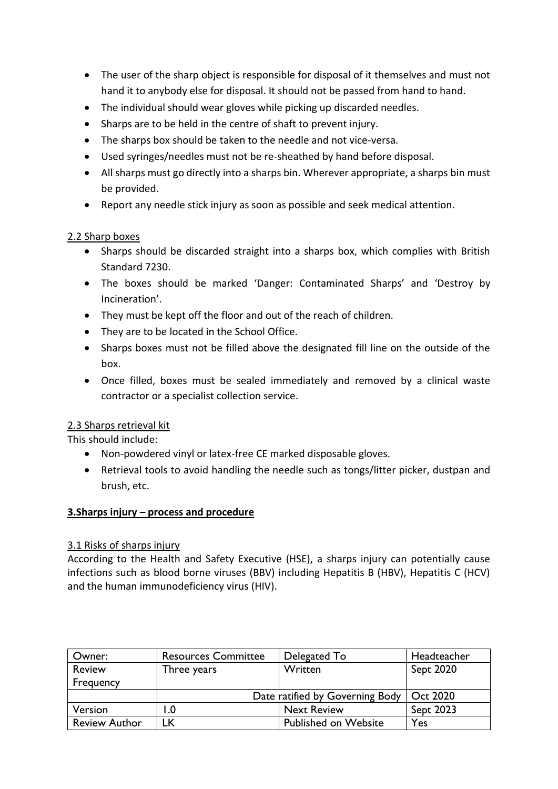- The user of the sharp object is responsible for disposal of it themselves and must not hand it to anybody else for disposal. It should not be passed from hand to hand.
- The individual should wear gloves while picking up discarded needles.
- Sharps are to be held in the centre of shaft to prevent injury.
- The sharps box should be taken to the needle and not vice-versa.
- Used syringes/needles must not be re-sheathed by hand before disposal.
- All sharps must go directly into a sharps bin. Wherever appropriate, a sharps bin must be provided.
- Report any needle stick injury as soon as possible and seek medical attention.

#### <span id="page-3-0"></span>2.2 Sharp boxes

- Sharps should be discarded straight into a sharps box, which complies with British Standard 7230.
- The boxes should be marked 'Danger: Contaminated Sharps' and 'Destroy by Incineration'.
- They must be kept off the floor and out of the reach of children.
- They are to be located in the School Office.
- Sharps boxes must not be filled above the designated fill line on the outside of the box.
- Once filled, boxes must be sealed immediately and removed by a clinical waste contractor or a specialist collection service.

#### <span id="page-3-1"></span>2.3 Sharps retrieval kit

This should include:

- Non-powdered vinyl or latex-free CE marked disposable gloves.
- Retrieval tools to avoid handling the needle such as tongs/litter picker, dustpan and brush, etc.

#### <span id="page-3-2"></span>**3.Sharps injury – process and procedure**

#### <span id="page-3-3"></span>3.1 Risks of sharps injury

According to the Health and Safety Executive (HSE), a sharps injury can potentially cause infections such as blood borne viruses (BBV) including Hepatitis B (HBV), Hepatitis C (HCV) and the human immunodeficiency virus (HIV).

| Owner:               | <b>Resources Committee</b>      | Delegated To                | Headteacher |
|----------------------|---------------------------------|-----------------------------|-------------|
| <b>Review</b>        | Three years                     | Written                     | Sept 2020   |
| Frequency            |                                 |                             |             |
|                      | Date ratified by Governing Body |                             | Oct 2020    |
| Version              | $\mathbf{0}$ .                  | <b>Next Review</b>          | Sept 2023   |
| <b>Review Author</b> | <sub>-</sub> K                  | <b>Published on Website</b> | Yes         |